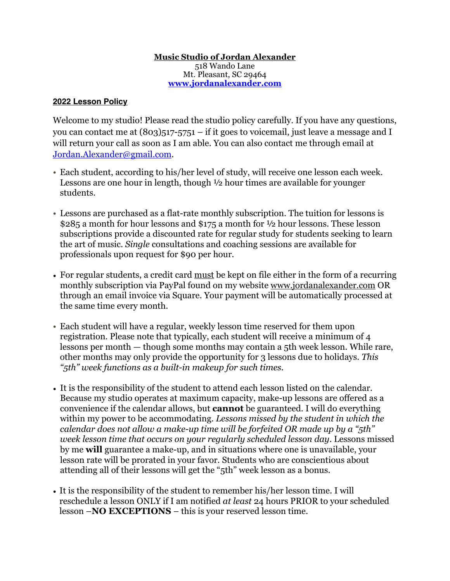## **Music Studio of Jordan Alexander** 518 Wando Lane Mt. Pleasant, SC 29464 **[www.jordanalexander.com](http://www.jordanalexander.com)**

## **2022 Lesson Policy**

Welcome to my studio! Please read the studio policy carefully. If you have any questions, you can contact me at  $(803)517-5751$  – if it goes to voicemail, just leave a message and I will return your call as soon as I am able. You can also contact me through email at [Jordan.Alexander@gmail.com.](mailto:Jordan.Alexander@gmail.com)

- Each student, according to his/her level of study, will receive one lesson each week. Lessons are one hour in length, though ½ hour times are available for younger students.
- Lessons are purchased as a flat-rate monthly subscription. The tuition for lessons is \$285 a month for hour lessons and \$175 a month for ½ hour lessons. These lesson subscriptions provide a discounted rate for regular study for students seeking to learn the art of music. *Single* consultations and coaching sessions are available for professionals upon request for \$90 per hour.
- For regular students, a credit card must be kept on file either in the form of a recurring monthly subscription via PayPal found on my website [www.jordanalexander.com](http://www.jordanalexander.com) OR through an email invoice via Square. Your payment will be automatically processed at the same time every month.
- Each student will have a regular, weekly lesson time reserved for them upon registration. Please note that typically, each student will receive a minimum of 4 lessons per month — though some months may contain a 5th week lesson. While rare, other months may only provide the opportunity for 3 lessons due to holidays. *This "5th" week functions as a built-in makeup for such times.*
- It is the responsibility of the student to attend each lesson listed on the calendar. Because my studio operates at maximum capacity, make-up lessons are offered as a convenience if the calendar allows, but **cannot** be guaranteed. I will do everything within my power to be accommodating. *Lessons missed by the student in which the calendar does not allow a make-up time will be forfeited OR made up by a "5th" week lesson time that occurs on your regularly scheduled lesson day*. Lessons missed by me **will** guarantee a make-up, and in situations where one is unavailable, your lesson rate will be prorated in your favor. Students who are conscientious about attending all of their lessons will get the "5th" week lesson as a bonus.
- It is the responsibility of the student to remember his/her lesson time. I will reschedule a lesson ONLY if I am notified *at least* 24 hours PRIOR to your scheduled lesson –**NO EXCEPTIONS** – this is your reserved lesson time.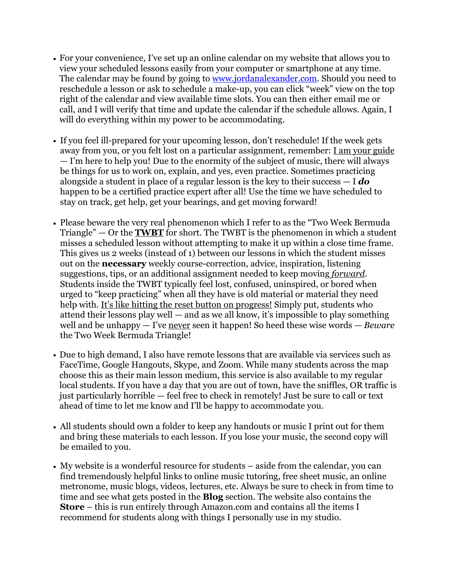- For your convenience, I've set up an online calendar on my website that allows you to view your scheduled lessons easily from your computer or smartphone at any time. The calendar may be found by going to [www.jordanalexander.com](http://www.jordanalexander.com). Should you need to reschedule a lesson or ask to schedule a make-up, you can click "week" view on the top right of the calendar and view available time slots. You can then either email me or call, and I will verify that time and update the calendar if the schedule allows. Again, I will do everything within my power to be accommodating.
- If you feel ill-prepared for your upcoming lesson, don't reschedule! If the week gets away from you, or you felt lost on a particular assignment, remember: I am your guide — I'm here to help you! Due to the enormity of the subject of music, there will always be things for us to work on, explain, and yes, even practice. Sometimes practicing alongside a student in place of a regular lesson is the key to their success — I *do* happen to be a certified practice expert after all! Use the time we have scheduled to stay on track, get help, get your bearings, and get moving forward!
- Please beware the very real phenomenon which I refer to as the "Two Week Bermuda Triangle" — Or the **TWBT** for short. The TWBT is the phenomenon in which a student misses a scheduled lesson without attempting to make it up within a close time frame. This gives us 2 weeks (instead of 1) between our lessons in which the student misses out on the **necessary** weekly course-correction, advice, inspiration, listening suggestions, tips, or an additional assignment needed to keep moving *forward*. Students inside the TWBT typically feel lost, confused, uninspired, or bored when urged to "keep practicing" when all they have is old material or material they need help with. It's like hitting the reset button on progress! Simply put, students who attend their lessons play well — and as we all know, it's impossible to play something well and be unhappy — I've never seen it happen! So heed these wise words — *Beware* the Two Week Bermuda Triangle!
- Due to high demand, I also have remote lessons that are available via services such as FaceTime, Google Hangouts, Skype, and Zoom. While many students across the map choose this as their main lesson medium, this service is also available to my regular local students. If you have a day that you are out of town, have the sniffles, OR traffic is just particularly horrible — feel free to check in remotely! Just be sure to call or text ahead of time to let me know and I'll be happy to accommodate you.
- All students should own a folder to keep any handouts or music I print out for them and bring these materials to each lesson. If you lose your music, the second copy will be emailed to you.
- My website is a wonderful resource for students aside from the calendar, you can find tremendously helpful links to online music tutoring, free sheet music, an online metronome, music blogs, videos, lectures, etc. Always be sure to check in from time to time and see what gets posted in the **Blog** section. The website also contains the **Store** – this is run entirely through Amazon.com and contains all the items I recommend for students along with things I personally use in my studio.